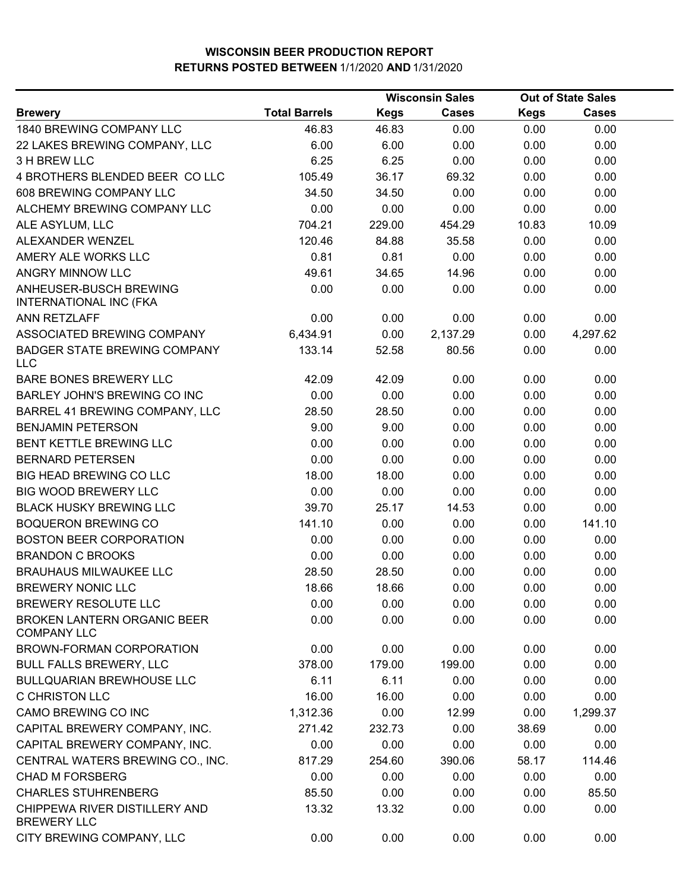|                                                          |                      |             | <b>Wisconsin Sales</b> |             | <b>Out of State Sales</b> |  |
|----------------------------------------------------------|----------------------|-------------|------------------------|-------------|---------------------------|--|
| <b>Brewery</b>                                           | <b>Total Barrels</b> | <b>Kegs</b> | <b>Cases</b>           | <b>Kegs</b> | <b>Cases</b>              |  |
| 1840 BREWING COMPANY LLC                                 | 46.83                | 46.83       | 0.00                   | 0.00        | 0.00                      |  |
| 22 LAKES BREWING COMPANY, LLC                            | 6.00                 | 6.00        | 0.00                   | 0.00        | 0.00                      |  |
| 3 H BREW LLC                                             | 6.25                 | 6.25        | 0.00                   | 0.00        | 0.00                      |  |
| 4 BROTHERS BLENDED BEER CO LLC                           | 105.49               | 36.17       | 69.32                  | 0.00        | 0.00                      |  |
| 608 BREWING COMPANY LLC                                  | 34.50                | 34.50       | 0.00                   | 0.00        | 0.00                      |  |
| ALCHEMY BREWING COMPANY LLC                              | 0.00                 | 0.00        | 0.00                   | 0.00        | 0.00                      |  |
| ALE ASYLUM, LLC                                          | 704.21               | 229.00      | 454.29                 | 10.83       | 10.09                     |  |
| ALEXANDER WENZEL                                         | 120.46               | 84.88       | 35.58                  | 0.00        | 0.00                      |  |
| AMERY ALE WORKS LLC                                      | 0.81                 | 0.81        | 0.00                   | 0.00        | 0.00                      |  |
| ANGRY MINNOW LLC                                         | 49.61                | 34.65       | 14.96                  | 0.00        | 0.00                      |  |
| ANHEUSER-BUSCH BREWING<br><b>INTERNATIONAL INC (FKA</b>  | 0.00                 | 0.00        | 0.00                   | 0.00        | 0.00                      |  |
| ANN RETZLAFF                                             | 0.00                 | 0.00        | 0.00                   | 0.00        | 0.00                      |  |
| ASSOCIATED BREWING COMPANY                               | 6,434.91             | 0.00        | 2,137.29               | 0.00        | 4,297.62                  |  |
| <b>BADGER STATE BREWING COMPANY</b><br><b>LLC</b>        | 133.14               | 52.58       | 80.56                  | 0.00        | 0.00                      |  |
| BARE BONES BREWERY LLC                                   | 42.09                | 42.09       | 0.00                   | 0.00        | 0.00                      |  |
| BARLEY JOHN'S BREWING CO INC                             | 0.00                 | 0.00        | 0.00                   | 0.00        | 0.00                      |  |
| BARREL 41 BREWING COMPANY, LLC                           | 28.50                | 28.50       | 0.00                   | 0.00        | 0.00                      |  |
| <b>BENJAMIN PETERSON</b>                                 | 9.00                 | 9.00        | 0.00                   | 0.00        | 0.00                      |  |
| BENT KETTLE BREWING LLC                                  | 0.00                 | 0.00        | 0.00                   | 0.00        | 0.00                      |  |
| <b>BERNARD PETERSEN</b>                                  | 0.00                 | 0.00        | 0.00                   | 0.00        | 0.00                      |  |
| <b>BIG HEAD BREWING CO LLC</b>                           | 18.00                | 18.00       | 0.00                   | 0.00        | 0.00                      |  |
| <b>BIG WOOD BREWERY LLC</b>                              | 0.00                 | 0.00        | 0.00                   | 0.00        | 0.00                      |  |
| <b>BLACK HUSKY BREWING LLC</b>                           | 39.70                | 25.17       | 14.53                  | 0.00        | 0.00                      |  |
| <b>BOQUERON BREWING CO</b>                               | 141.10               | 0.00        | 0.00                   | 0.00        | 141.10                    |  |
| <b>BOSTON BEER CORPORATION</b>                           | 0.00                 | 0.00        | 0.00                   | 0.00        | 0.00                      |  |
| <b>BRANDON C BROOKS</b>                                  | 0.00                 | 0.00        | 0.00                   | 0.00        | 0.00                      |  |
| <b>BRAUHAUS MILWAUKEE LLC</b>                            | 28.50                | 28.50       | 0.00                   | 0.00        | 0.00                      |  |
| <b>BREWERY NONIC LLC</b>                                 | 18.66                | 18.66       | 0.00                   | 0.00        | 0.00                      |  |
| <b>BREWERY RESOLUTE LLC</b>                              | 0.00                 | 0.00        | 0.00                   | 0.00        | 0.00                      |  |
| <b>BROKEN LANTERN ORGANIC BEER</b><br><b>COMPANY LLC</b> | 0.00                 | 0.00        | 0.00                   | 0.00        | 0.00                      |  |
| BROWN-FORMAN CORPORATION                                 | 0.00                 | 0.00        | 0.00                   | 0.00        | 0.00                      |  |
| <b>BULL FALLS BREWERY, LLC</b>                           | 378.00               | 179.00      | 199.00                 | 0.00        | 0.00                      |  |
| <b>BULLQUARIAN BREWHOUSE LLC</b>                         | 6.11                 | 6.11        | 0.00                   | 0.00        | 0.00                      |  |
| C CHRISTON LLC                                           | 16.00                | 16.00       | 0.00                   | 0.00        | 0.00                      |  |
| CAMO BREWING CO INC                                      | 1,312.36             | 0.00        | 12.99                  | 0.00        | 1,299.37                  |  |
| CAPITAL BREWERY COMPANY, INC.                            | 271.42               | 232.73      | 0.00                   | 38.69       | 0.00                      |  |
| CAPITAL BREWERY COMPANY, INC.                            | 0.00                 | 0.00        | 0.00                   | 0.00        | 0.00                      |  |
| CENTRAL WATERS BREWING CO., INC.                         | 817.29               | 254.60      | 390.06                 | 58.17       | 114.46                    |  |
| <b>CHAD M FORSBERG</b>                                   | 0.00                 | 0.00        | 0.00                   | 0.00        | 0.00                      |  |
| <b>CHARLES STUHRENBERG</b>                               | 85.50                | 0.00        | 0.00                   | 0.00        | 85.50                     |  |
| CHIPPEWA RIVER DISTILLERY AND<br><b>BREWERY LLC</b>      | 13.32                | 13.32       | 0.00                   | 0.00        | 0.00                      |  |
| CITY BREWING COMPANY, LLC                                | 0.00                 | 0.00        | 0.00                   | 0.00        | 0.00                      |  |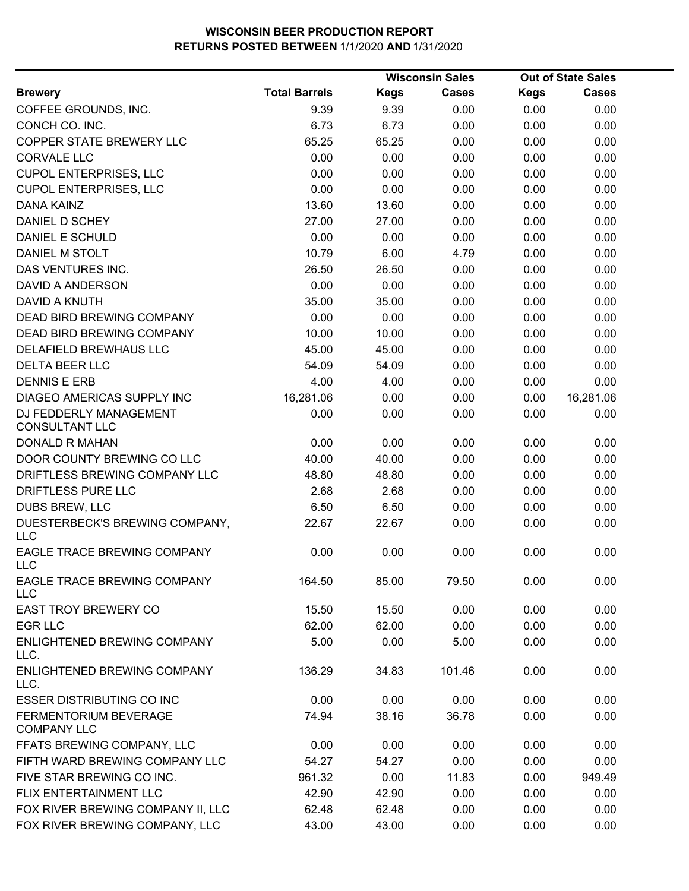|                                                 |                      |             | <b>Wisconsin Sales</b> |             | <b>Out of State Sales</b> |  |
|-------------------------------------------------|----------------------|-------------|------------------------|-------------|---------------------------|--|
| <b>Brewery</b>                                  | <b>Total Barrels</b> | <b>Kegs</b> | <b>Cases</b>           | <b>Kegs</b> | <b>Cases</b>              |  |
| COFFEE GROUNDS, INC.                            | 9.39                 | 9.39        | 0.00                   | 0.00        | 0.00                      |  |
| CONCH CO. INC.                                  | 6.73                 | 6.73        | 0.00                   | 0.00        | 0.00                      |  |
| COPPER STATE BREWERY LLC                        | 65.25                | 65.25       | 0.00                   | 0.00        | 0.00                      |  |
| <b>CORVALE LLC</b>                              | 0.00                 | 0.00        | 0.00                   | 0.00        | 0.00                      |  |
| <b>CUPOL ENTERPRISES, LLC</b>                   | 0.00                 | 0.00        | 0.00                   | 0.00        | 0.00                      |  |
| <b>CUPOL ENTERPRISES, LLC</b>                   | 0.00                 | 0.00        | 0.00                   | 0.00        | 0.00                      |  |
| <b>DANA KAINZ</b>                               | 13.60                | 13.60       | 0.00                   | 0.00        | 0.00                      |  |
| DANIEL D SCHEY                                  | 27.00                | 27.00       | 0.00                   | 0.00        | 0.00                      |  |
| DANIEL E SCHULD                                 | 0.00                 | 0.00        | 0.00                   | 0.00        | 0.00                      |  |
| DANIEL M STOLT                                  | 10.79                | 6.00        | 4.79                   | 0.00        | 0.00                      |  |
| DAS VENTURES INC.                               | 26.50                | 26.50       | 0.00                   | 0.00        | 0.00                      |  |
| DAVID A ANDERSON                                | 0.00                 | 0.00        | 0.00                   | 0.00        | 0.00                      |  |
| DAVID A KNUTH                                   | 35.00                | 35.00       | 0.00                   | 0.00        | 0.00                      |  |
| <b>DEAD BIRD BREWING COMPANY</b>                | 0.00                 | 0.00        | 0.00                   | 0.00        | 0.00                      |  |
| <b>DEAD BIRD BREWING COMPANY</b>                | 10.00                | 10.00       | 0.00                   | 0.00        | 0.00                      |  |
| DELAFIELD BREWHAUS LLC                          | 45.00                | 45.00       | 0.00                   | 0.00        | 0.00                      |  |
| <b>DELTA BEER LLC</b>                           | 54.09                | 54.09       | 0.00                   | 0.00        | 0.00                      |  |
| <b>DENNIS E ERB</b>                             | 4.00                 | 4.00        | 0.00                   | 0.00        | 0.00                      |  |
| DIAGEO AMERICAS SUPPLY INC                      | 16,281.06            | 0.00        | 0.00                   | 0.00        | 16,281.06                 |  |
| DJ FEDDERLY MANAGEMENT<br><b>CONSULTANT LLC</b> | 0.00                 | 0.00        | 0.00                   | 0.00        | 0.00                      |  |
| <b>DONALD R MAHAN</b>                           | 0.00                 | 0.00        | 0.00                   | 0.00        | 0.00                      |  |
| DOOR COUNTY BREWING CO LLC                      | 40.00                | 40.00       | 0.00                   | 0.00        | 0.00                      |  |
| DRIFTLESS BREWING COMPANY LLC                   | 48.80                | 48.80       | 0.00                   | 0.00        | 0.00                      |  |
| DRIFTLESS PURE LLC                              | 2.68                 | 2.68        | 0.00                   | 0.00        | 0.00                      |  |
| DUBS BREW, LLC                                  | 6.50                 | 6.50        | 0.00                   | 0.00        | 0.00                      |  |
| DUESTERBECK'S BREWING COMPANY,<br><b>LLC</b>    | 22.67                | 22.67       | 0.00                   | 0.00        | 0.00                      |  |
| EAGLE TRACE BREWING COMPANY<br><b>LLC</b>       | 0.00                 | 0.00        | 0.00                   | 0.00        | 0.00                      |  |
| EAGLE TRACE BREWING COMPANY<br><b>LLC</b>       | 164.50               | 85.00       | 79.50                  | 0.00        | 0.00                      |  |
| EAST TROY BREWERY CO                            | 15.50                | 15.50       | 0.00                   | 0.00        | 0.00                      |  |
| <b>EGR LLC</b>                                  | 62.00                | 62.00       | 0.00                   | 0.00        | 0.00                      |  |
| ENLIGHTENED BREWING COMPANY<br>LLC.             | 5.00                 | 0.00        | 5.00                   | 0.00        | 0.00                      |  |
| ENLIGHTENED BREWING COMPANY<br>LLC.             | 136.29               | 34.83       | 101.46                 | 0.00        | 0.00                      |  |
| <b>ESSER DISTRIBUTING CO INC</b>                | 0.00                 | 0.00        | 0.00                   | 0.00        | 0.00                      |  |
| FERMENTORIUM BEVERAGE<br><b>COMPANY LLC</b>     | 74.94                | 38.16       | 36.78                  | 0.00        | 0.00                      |  |
| FFATS BREWING COMPANY, LLC                      | 0.00                 | 0.00        | 0.00                   | 0.00        | 0.00                      |  |
| FIFTH WARD BREWING COMPANY LLC                  | 54.27                | 54.27       | 0.00                   | 0.00        | 0.00                      |  |
| FIVE STAR BREWING CO INC.                       | 961.32               | 0.00        | 11.83                  | 0.00        | 949.49                    |  |
| FLIX ENTERTAINMENT LLC                          | 42.90                | 42.90       | 0.00                   | 0.00        | 0.00                      |  |
| FOX RIVER BREWING COMPANY II, LLC               | 62.48                | 62.48       | 0.00                   | 0.00        | 0.00                      |  |
| FOX RIVER BREWING COMPANY, LLC                  | 43.00                | 43.00       | 0.00                   | 0.00        | 0.00                      |  |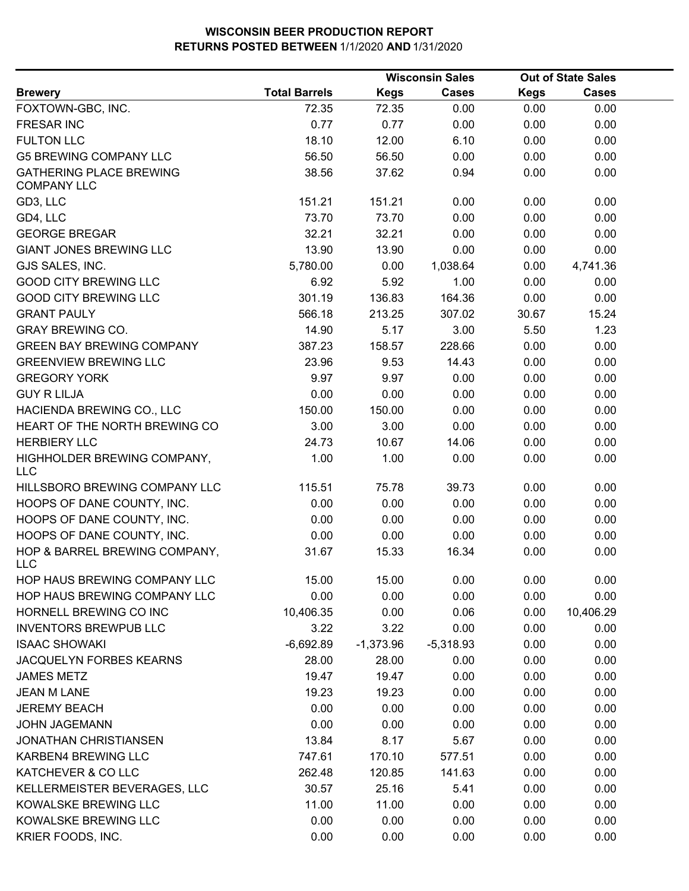|                                                      |                      |             | <b>Wisconsin Sales</b> |             | <b>Out of State Sales</b> |  |
|------------------------------------------------------|----------------------|-------------|------------------------|-------------|---------------------------|--|
| <b>Brewery</b>                                       | <b>Total Barrels</b> | <b>Kegs</b> | <b>Cases</b>           | <b>Kegs</b> | <b>Cases</b>              |  |
| FOXTOWN-GBC, INC.                                    | 72.35                | 72.35       | 0.00                   | 0.00        | 0.00                      |  |
| <b>FRESAR INC</b>                                    | 0.77                 | 0.77        | 0.00                   | 0.00        | 0.00                      |  |
| <b>FULTON LLC</b>                                    | 18.10                | 12.00       | 6.10                   | 0.00        | 0.00                      |  |
| <b>G5 BREWING COMPANY LLC</b>                        | 56.50                | 56.50       | 0.00                   | 0.00        | 0.00                      |  |
| <b>GATHERING PLACE BREWING</b><br><b>COMPANY LLC</b> | 38.56                | 37.62       | 0.94                   | 0.00        | 0.00                      |  |
| GD3, LLC                                             | 151.21               | 151.21      | 0.00                   | 0.00        | 0.00                      |  |
| GD4, LLC                                             | 73.70                | 73.70       | 0.00                   | 0.00        | 0.00                      |  |
| <b>GEORGE BREGAR</b>                                 | 32.21                | 32.21       | 0.00                   | 0.00        | 0.00                      |  |
| <b>GIANT JONES BREWING LLC</b>                       | 13.90                | 13.90       | 0.00                   | 0.00        | 0.00                      |  |
| GJS SALES, INC.                                      | 5,780.00             | 0.00        | 1,038.64               | 0.00        | 4,741.36                  |  |
| <b>GOOD CITY BREWING LLC</b>                         | 6.92                 | 5.92        | 1.00                   | 0.00        | 0.00                      |  |
| <b>GOOD CITY BREWING LLC</b>                         | 301.19               | 136.83      | 164.36                 | 0.00        | 0.00                      |  |
| <b>GRANT PAULY</b>                                   | 566.18               | 213.25      | 307.02                 | 30.67       | 15.24                     |  |
| <b>GRAY BREWING CO.</b>                              | 14.90                | 5.17        | 3.00                   | 5.50        | 1.23                      |  |
| <b>GREEN BAY BREWING COMPANY</b>                     | 387.23               | 158.57      | 228.66                 | 0.00        | 0.00                      |  |
| <b>GREENVIEW BREWING LLC</b>                         | 23.96                | 9.53        | 14.43                  | 0.00        | 0.00                      |  |
| <b>GREGORY YORK</b>                                  | 9.97                 | 9.97        | 0.00                   | 0.00        | 0.00                      |  |
| <b>GUY R LILJA</b>                                   | 0.00                 | 0.00        | 0.00                   | 0.00        | 0.00                      |  |
| HACIENDA BREWING CO., LLC                            | 150.00               | 150.00      | 0.00                   | 0.00        | 0.00                      |  |
| HEART OF THE NORTH BREWING CO                        | 3.00                 | 3.00        | 0.00                   | 0.00        | 0.00                      |  |
| <b>HERBIERY LLC</b>                                  | 24.73                | 10.67       | 14.06                  | 0.00        | 0.00                      |  |
| HIGHHOLDER BREWING COMPANY,<br><b>LLC</b>            | 1.00                 | 1.00        | 0.00                   | 0.00        | 0.00                      |  |
| HILLSBORO BREWING COMPANY LLC                        | 115.51               | 75.78       | 39.73                  | 0.00        | 0.00                      |  |
| HOOPS OF DANE COUNTY, INC.                           | 0.00                 | 0.00        | 0.00                   | 0.00        | 0.00                      |  |
| HOOPS OF DANE COUNTY, INC.                           | 0.00                 | 0.00        | 0.00                   | 0.00        | 0.00                      |  |
| HOOPS OF DANE COUNTY, INC.                           | 0.00                 | 0.00        | 0.00                   | 0.00        | 0.00                      |  |
| HOP & BARREL BREWING COMPANY,<br><b>LLC</b>          | 31.67                | 15.33       | 16.34                  | 0.00        | 0.00                      |  |
| HOP HAUS BREWING COMPANY LLC                         | 15.00                | 15.00       | 0.00                   | 0.00        | 0.00                      |  |
| HOP HAUS BREWING COMPANY LLC                         | 0.00                 | 0.00        | 0.00                   | 0.00        | 0.00                      |  |
| HORNELL BREWING CO INC                               | 10,406.35            | 0.00        | 0.06                   | 0.00        | 10,406.29                 |  |
| <b>INVENTORS BREWPUB LLC</b>                         | 3.22                 | 3.22        | 0.00                   | 0.00        | 0.00                      |  |
| <b>ISAAC SHOWAKI</b>                                 | $-6,692.89$          | $-1,373.96$ | $-5,318.93$            | 0.00        | 0.00                      |  |
| JACQUELYN FORBES KEARNS                              | 28.00                | 28.00       | 0.00                   | 0.00        | 0.00                      |  |
| <b>JAMES METZ</b>                                    | 19.47                | 19.47       | 0.00                   | 0.00        | 0.00                      |  |
| <b>JEAN M LANE</b>                                   | 19.23                | 19.23       | 0.00                   | 0.00        | 0.00                      |  |
| <b>JEREMY BEACH</b>                                  | 0.00                 | 0.00        | 0.00                   | 0.00        | 0.00                      |  |
| <b>JOHN JAGEMANN</b>                                 | 0.00                 | 0.00        | 0.00                   | 0.00        | 0.00                      |  |
| <b>JONATHAN CHRISTIANSEN</b>                         | 13.84                | 8.17        | 5.67                   | 0.00        | 0.00                      |  |
| KARBEN4 BREWING LLC                                  | 747.61               | 170.10      | 577.51                 | 0.00        | 0.00                      |  |
| KATCHEVER & CO LLC                                   | 262.48               | 120.85      | 141.63                 | 0.00        | 0.00                      |  |
| KELLERMEISTER BEVERAGES, LLC                         | 30.57                | 25.16       | 5.41                   | 0.00        | 0.00                      |  |
| KOWALSKE BREWING LLC                                 | 11.00                | 11.00       | 0.00                   | 0.00        | 0.00                      |  |
| KOWALSKE BREWING LLC                                 | 0.00                 | 0.00        | 0.00                   | 0.00        | 0.00                      |  |
| KRIER FOODS, INC.                                    | 0.00                 | 0.00        | 0.00                   | 0.00        | 0.00                      |  |
|                                                      |                      |             |                        |             |                           |  |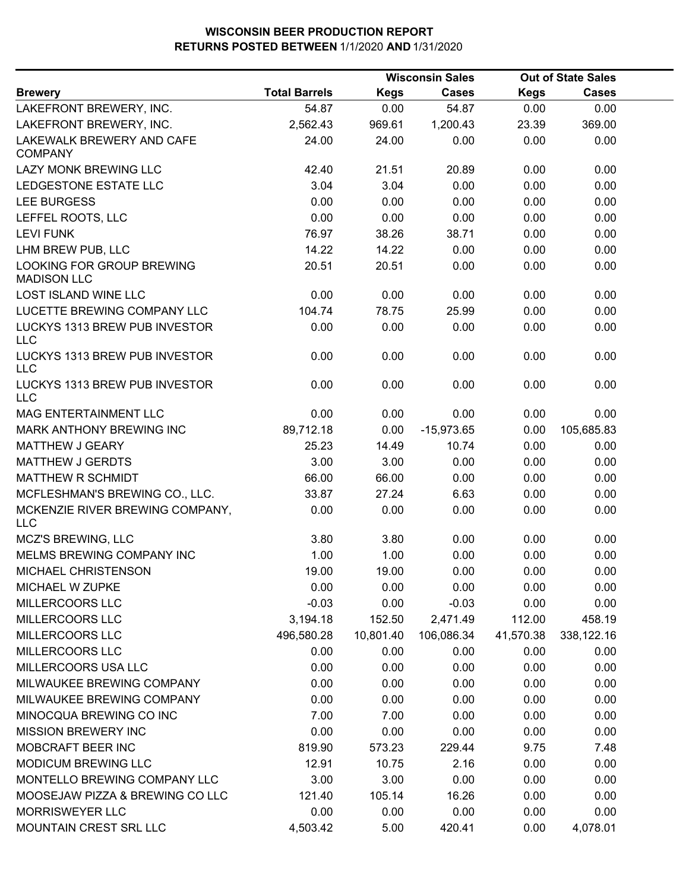|                                                 |                      |             | <b>Wisconsin Sales</b> |             | <b>Out of State Sales</b> |  |
|-------------------------------------------------|----------------------|-------------|------------------------|-------------|---------------------------|--|
| <b>Brewery</b>                                  | <b>Total Barrels</b> | <b>Kegs</b> | <b>Cases</b>           | <b>Kegs</b> | <b>Cases</b>              |  |
| LAKEFRONT BREWERY, INC.                         | 54.87                | 0.00        | 54.87                  | 0.00        | 0.00                      |  |
| LAKEFRONT BREWERY, INC.                         | 2,562.43             | 969.61      | 1,200.43               | 23.39       | 369.00                    |  |
| LAKEWALK BREWERY AND CAFE<br><b>COMPANY</b>     | 24.00                | 24.00       | 0.00                   | 0.00        | 0.00                      |  |
| LAZY MONK BREWING LLC                           | 42.40                | 21.51       | 20.89                  | 0.00        | 0.00                      |  |
| LEDGESTONE ESTATE LLC                           | 3.04                 | 3.04        | 0.00                   | 0.00        | 0.00                      |  |
| <b>LEE BURGESS</b>                              | 0.00                 | 0.00        | 0.00                   | 0.00        | 0.00                      |  |
| LEFFEL ROOTS, LLC                               | 0.00                 | 0.00        | 0.00                   | 0.00        | 0.00                      |  |
| <b>LEVI FUNK</b>                                | 76.97                | 38.26       | 38.71                  | 0.00        | 0.00                      |  |
| LHM BREW PUB, LLC                               | 14.22                | 14.22       | 0.00                   | 0.00        | 0.00                      |  |
| LOOKING FOR GROUP BREWING<br><b>MADISON LLC</b> | 20.51                | 20.51       | 0.00                   | 0.00        | 0.00                      |  |
| <b>LOST ISLAND WINE LLC</b>                     | 0.00                 | 0.00        | 0.00                   | 0.00        | 0.00                      |  |
| LUCETTE BREWING COMPANY LLC                     | 104.74               | 78.75       | 25.99                  | 0.00        | 0.00                      |  |
| LUCKYS 1313 BREW PUB INVESTOR<br><b>LLC</b>     | 0.00                 | 0.00        | 0.00                   | 0.00        | 0.00                      |  |
| LUCKYS 1313 BREW PUB INVESTOR<br><b>LLC</b>     | 0.00                 | 0.00        | 0.00                   | 0.00        | 0.00                      |  |
| LUCKYS 1313 BREW PUB INVESTOR<br><b>LLC</b>     | 0.00                 | 0.00        | 0.00                   | 0.00        | 0.00                      |  |
| MAG ENTERTAINMENT LLC                           | 0.00                 | 0.00        | 0.00                   | 0.00        | 0.00                      |  |
| MARK ANTHONY BREWING INC                        | 89,712.18            | 0.00        | $-15,973.65$           | 0.00        | 105,685.83                |  |
| MATTHEW J GEARY                                 | 25.23                | 14.49       | 10.74                  | 0.00        | 0.00                      |  |
| <b>MATTHEW J GERDTS</b>                         | 3.00                 | 3.00        | 0.00                   | 0.00        | 0.00                      |  |
| MATTHEW R SCHMIDT                               | 66.00                | 66.00       | 0.00                   | 0.00        | 0.00                      |  |
| MCFLESHMAN'S BREWING CO., LLC.                  | 33.87                | 27.24       | 6.63                   | 0.00        | 0.00                      |  |
| MCKENZIE RIVER BREWING COMPANY,<br><b>LLC</b>   | 0.00                 | 0.00        | 0.00                   | 0.00        | 0.00                      |  |
| MCZ'S BREWING, LLC                              | 3.80                 | 3.80        | 0.00                   | 0.00        | 0.00                      |  |
| MELMS BREWING COMPANY INC                       | 1.00                 | 1.00        | 0.00                   | 0.00        | 0.00                      |  |
| MICHAEL CHRISTENSON                             | 19.00                | 19.00       | 0.00                   | 0.00        | 0.00                      |  |
| MICHAEL W ZUPKE                                 | 0.00                 | 0.00        | 0.00                   | 0.00        | 0.00                      |  |
| MILLERCOORS LLC                                 | $-0.03$              | 0.00        | $-0.03$                | 0.00        | 0.00                      |  |
| MILLERCOORS LLC                                 | 3,194.18             | 152.50      | 2,471.49               | 112.00      | 458.19                    |  |
| MILLERCOORS LLC                                 | 496,580.28           | 10,801.40   | 106,086.34             | 41,570.38   | 338,122.16                |  |
| MILLERCOORS LLC                                 | 0.00                 | 0.00        | 0.00                   | 0.00        | 0.00                      |  |
| MILLERCOORS USA LLC                             | 0.00                 | 0.00        | 0.00                   | 0.00        | 0.00                      |  |
| MILWAUKEE BREWING COMPANY                       | 0.00                 | 0.00        | 0.00                   | 0.00        | 0.00                      |  |
| MILWAUKEE BREWING COMPANY                       | 0.00                 | 0.00        | 0.00                   | 0.00        | 0.00                      |  |
| MINOCQUA BREWING CO INC                         | 7.00                 | 7.00        | 0.00                   | 0.00        | 0.00                      |  |
| <b>MISSION BREWERY INC</b>                      | 0.00                 | 0.00        | 0.00                   | 0.00        | 0.00                      |  |
| MOBCRAFT BEER INC                               | 819.90               | 573.23      | 229.44                 | 9.75        | 7.48                      |  |
| MODICUM BREWING LLC                             | 12.91                | 10.75       | 2.16                   | 0.00        | 0.00                      |  |
| MONTELLO BREWING COMPANY LLC                    | 3.00                 | 3.00        | 0.00                   | 0.00        | 0.00                      |  |
| MOOSEJAW PIZZA & BREWING CO LLC                 | 121.40               | 105.14      | 16.26                  | 0.00        | 0.00                      |  |
| <b>MORRISWEYER LLC</b>                          | 0.00                 | 0.00        | 0.00                   | 0.00        | 0.00                      |  |
| MOUNTAIN CREST SRL LLC                          | 4,503.42             | 5.00        | 420.41                 | 0.00        | 4,078.01                  |  |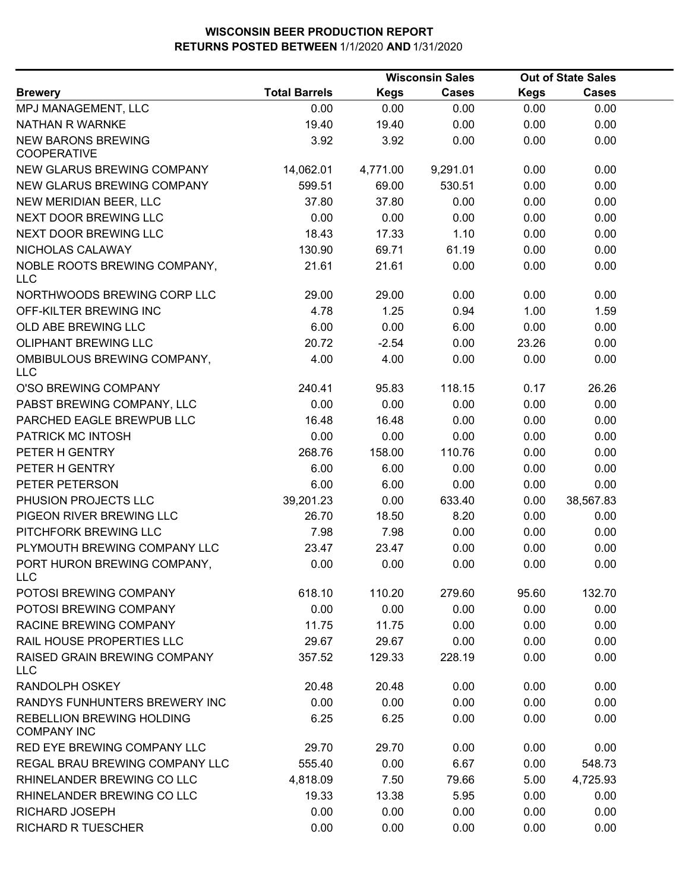|                                                   |                      |             | <b>Wisconsin Sales</b> |             | <b>Out of State Sales</b> |  |
|---------------------------------------------------|----------------------|-------------|------------------------|-------------|---------------------------|--|
| <b>Brewery</b>                                    | <b>Total Barrels</b> | <b>Kegs</b> | <b>Cases</b>           | <b>Kegs</b> | Cases                     |  |
| MPJ MANAGEMENT, LLC                               | 0.00                 | 0.00        | 0.00                   | 0.00        | 0.00                      |  |
| <b>NATHAN R WARNKE</b>                            | 19.40                | 19.40       | 0.00                   | 0.00        | 0.00                      |  |
| <b>NEW BARONS BREWING</b><br><b>COOPERATIVE</b>   | 3.92                 | 3.92        | 0.00                   | 0.00        | 0.00                      |  |
| <b>NEW GLARUS BREWING COMPANY</b>                 | 14,062.01            | 4,771.00    | 9,291.01               | 0.00        | 0.00                      |  |
| NEW GLARUS BREWING COMPANY                        | 599.51               | 69.00       | 530.51                 | 0.00        | 0.00                      |  |
| NEW MERIDIAN BEER, LLC                            | 37.80                | 37.80       | 0.00                   | 0.00        | 0.00                      |  |
| NEXT DOOR BREWING LLC                             | 0.00                 | 0.00        | 0.00                   | 0.00        | 0.00                      |  |
| NEXT DOOR BREWING LLC                             | 18.43                | 17.33       | 1.10                   | 0.00        | 0.00                      |  |
| NICHOLAS CALAWAY                                  | 130.90               | 69.71       | 61.19                  | 0.00        | 0.00                      |  |
| NOBLE ROOTS BREWING COMPANY,<br><b>LLC</b>        | 21.61                | 21.61       | 0.00                   | 0.00        | 0.00                      |  |
| NORTHWOODS BREWING CORP LLC                       | 29.00                | 29.00       | 0.00                   | 0.00        | 0.00                      |  |
| OFF-KILTER BREWING INC                            | 4.78                 | 1.25        | 0.94                   | 1.00        | 1.59                      |  |
| OLD ABE BREWING LLC                               | 6.00                 | 0.00        | 6.00                   | 0.00        | 0.00                      |  |
| OLIPHANT BREWING LLC                              | 20.72                | $-2.54$     | 0.00                   | 23.26       | 0.00                      |  |
| OMBIBULOUS BREWING COMPANY,<br><b>LLC</b>         | 4.00                 | 4.00        | 0.00                   | 0.00        | 0.00                      |  |
| O'SO BREWING COMPANY                              | 240.41               | 95.83       | 118.15                 | 0.17        | 26.26                     |  |
| PABST BREWING COMPANY, LLC                        | 0.00                 | 0.00        | 0.00                   | 0.00        | 0.00                      |  |
| PARCHED EAGLE BREWPUB LLC                         | 16.48                | 16.48       | 0.00                   | 0.00        | 0.00                      |  |
| PATRICK MC INTOSH                                 | 0.00                 | 0.00        | 0.00                   | 0.00        | 0.00                      |  |
| PETER H GENTRY                                    | 268.76               | 158.00      | 110.76                 | 0.00        | 0.00                      |  |
| PETER H GENTRY                                    | 6.00                 | 6.00        | 0.00                   | 0.00        | 0.00                      |  |
| PETER PETERSON                                    | 6.00                 | 6.00        | 0.00                   | 0.00        | 0.00                      |  |
| PHUSION PROJECTS LLC                              | 39,201.23            | 0.00        | 633.40                 | 0.00        | 38,567.83                 |  |
| PIGEON RIVER BREWING LLC                          | 26.70                | 18.50       | 8.20                   | 0.00        | 0.00                      |  |
| PITCHFORK BREWING LLC                             | 7.98                 | 7.98        | 0.00                   | 0.00        | 0.00                      |  |
| PLYMOUTH BREWING COMPANY LLC                      | 23.47                | 23.47       | 0.00                   | 0.00        | 0.00                      |  |
| PORT HURON BREWING COMPANY,<br>LLC                | 0.00                 | 0.00        | 0.00                   | 0.00        | 0.00                      |  |
| POTOSI BREWING COMPANY                            | 618.10               | 110.20      | 279.60                 | 95.60       | 132.70                    |  |
| POTOSI BREWING COMPANY                            | 0.00                 | 0.00        | 0.00                   | 0.00        | 0.00                      |  |
| RACINE BREWING COMPANY                            | 11.75                | 11.75       | 0.00                   | 0.00        | 0.00                      |  |
| RAIL HOUSE PROPERTIES LLC                         | 29.67                | 29.67       | 0.00                   | 0.00        | 0.00                      |  |
| <b>RAISED GRAIN BREWING COMPANY</b><br><b>LLC</b> | 357.52               | 129.33      | 228.19                 | 0.00        | 0.00                      |  |
| <b>RANDOLPH OSKEY</b>                             | 20.48                | 20.48       | 0.00                   | 0.00        | 0.00                      |  |
| RANDYS FUNHUNTERS BREWERY INC                     | 0.00                 | 0.00        | 0.00                   | 0.00        | 0.00                      |  |
| REBELLION BREWING HOLDING<br><b>COMPANY INC</b>   | 6.25                 | 6.25        | 0.00                   | 0.00        | 0.00                      |  |
| RED EYE BREWING COMPANY LLC                       | 29.70                | 29.70       | 0.00                   | 0.00        | 0.00                      |  |
| REGAL BRAU BREWING COMPANY LLC                    | 555.40               | 0.00        | 6.67                   | 0.00        | 548.73                    |  |
| RHINELANDER BREWING CO LLC                        | 4,818.09             | 7.50        | 79.66                  | 5.00        | 4,725.93                  |  |
| RHINELANDER BREWING CO LLC                        | 19.33                | 13.38       | 5.95                   | 0.00        | 0.00                      |  |
| <b>RICHARD JOSEPH</b>                             | 0.00                 | 0.00        | 0.00                   | 0.00        | 0.00                      |  |
| <b>RICHARD R TUESCHER</b>                         | 0.00                 | 0.00        | 0.00                   | 0.00        | 0.00                      |  |
|                                                   |                      |             |                        |             |                           |  |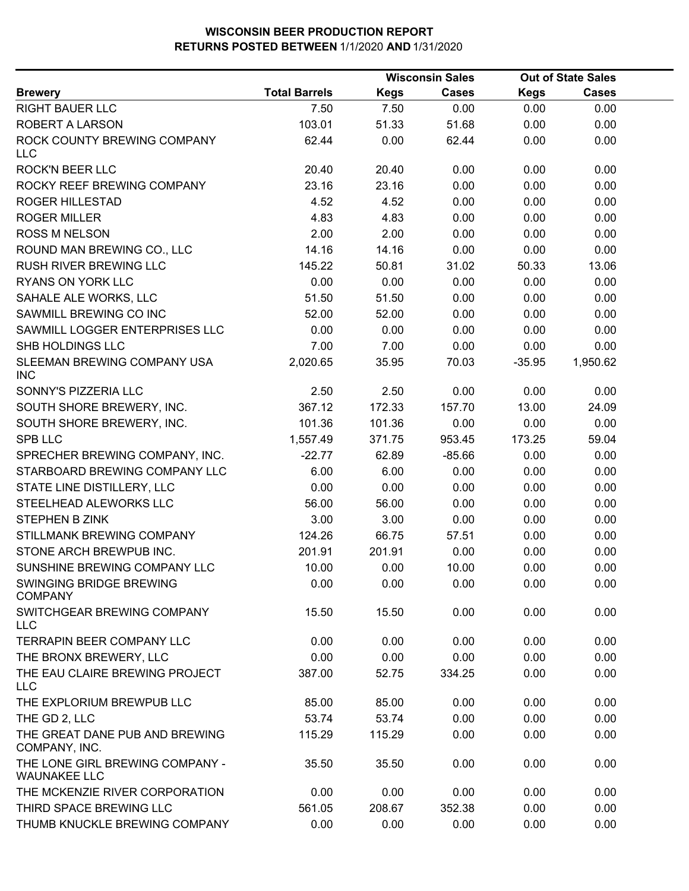|                                                        |                      |        | <b>Wisconsin Sales</b> |             | <b>Out of State Sales</b> |  |
|--------------------------------------------------------|----------------------|--------|------------------------|-------------|---------------------------|--|
| <b>Brewery</b>                                         | <b>Total Barrels</b> | Kegs   | <b>Cases</b>           | <b>Kegs</b> | <b>Cases</b>              |  |
| <b>RIGHT BAUER LLC</b>                                 | 7.50                 | 7.50   | 0.00                   | 0.00        | 0.00                      |  |
| ROBERT A LARSON                                        | 103.01               | 51.33  | 51.68                  | 0.00        | 0.00                      |  |
| ROCK COUNTY BREWING COMPANY<br><b>LLC</b>              | 62.44                | 0.00   | 62.44                  | 0.00        | 0.00                      |  |
| <b>ROCK'N BEER LLC</b>                                 | 20.40                | 20.40  | 0.00                   | 0.00        | 0.00                      |  |
| ROCKY REEF BREWING COMPANY                             | 23.16                | 23.16  | 0.00                   | 0.00        | 0.00                      |  |
| ROGER HILLESTAD                                        | 4.52                 | 4.52   | 0.00                   | 0.00        | 0.00                      |  |
| <b>ROGER MILLER</b>                                    | 4.83                 | 4.83   | 0.00                   | 0.00        | 0.00                      |  |
| <b>ROSS M NELSON</b>                                   | 2.00                 | 2.00   | 0.00                   | 0.00        | 0.00                      |  |
| ROUND MAN BREWING CO., LLC                             | 14.16                | 14.16  | 0.00                   | 0.00        | 0.00                      |  |
| <b>RUSH RIVER BREWING LLC</b>                          | 145.22               | 50.81  | 31.02                  | 50.33       | 13.06                     |  |
| RYANS ON YORK LLC                                      | 0.00                 | 0.00   | 0.00                   | 0.00        | 0.00                      |  |
| SAHALE ALE WORKS, LLC                                  | 51.50                | 51.50  | 0.00                   | 0.00        | 0.00                      |  |
| SAWMILL BREWING CO INC                                 | 52.00                | 52.00  | 0.00                   | 0.00        | 0.00                      |  |
| SAWMILL LOGGER ENTERPRISES LLC                         | 0.00                 | 0.00   | 0.00                   | 0.00        | 0.00                      |  |
| <b>SHB HOLDINGS LLC</b>                                | 7.00                 | 7.00   | 0.00                   | 0.00        | 0.00                      |  |
| SLEEMAN BREWING COMPANY USA<br><b>INC</b>              | 2,020.65             | 35.95  | 70.03                  | $-35.95$    | 1,950.62                  |  |
| SONNY'S PIZZERIA LLC                                   | 2.50                 | 2.50   | 0.00                   | 0.00        | 0.00                      |  |
| SOUTH SHORE BREWERY, INC.                              | 367.12               | 172.33 | 157.70                 | 13.00       | 24.09                     |  |
| SOUTH SHORE BREWERY, INC.                              | 101.36               | 101.36 | 0.00                   | 0.00        | 0.00                      |  |
| <b>SPB LLC</b>                                         | 1,557.49             | 371.75 | 953.45                 | 173.25      | 59.04                     |  |
| SPRECHER BREWING COMPANY, INC.                         | $-22.77$             | 62.89  | $-85.66$               | 0.00        | 0.00                      |  |
| STARBOARD BREWING COMPANY LLC                          | 6.00                 | 6.00   | 0.00                   | 0.00        | 0.00                      |  |
| STATE LINE DISTILLERY, LLC                             | 0.00                 | 0.00   | 0.00                   | 0.00        | 0.00                      |  |
| STEELHEAD ALEWORKS LLC                                 | 56.00                | 56.00  | 0.00                   | 0.00        | 0.00                      |  |
| <b>STEPHEN B ZINK</b>                                  | 3.00                 | 3.00   | 0.00                   | 0.00        | 0.00                      |  |
| STILLMANK BREWING COMPANY                              | 124.26               | 66.75  | 57.51                  | 0.00        | 0.00                      |  |
| STONE ARCH BREWPUB INC.                                | 201.91               | 201.91 | 0.00                   | 0.00        | 0.00                      |  |
| SUNSHINE BREWING COMPANY LLC                           | 10.00                | 0.00   | 10.00                  | 0.00        | 0.00                      |  |
| SWINGING BRIDGE BREWING<br><b>COMPANY</b>              | 0.00                 | 0.00   | 0.00                   | 0.00        | 0.00                      |  |
| SWITCHGEAR BREWING COMPANY<br><b>LLC</b>               | 15.50                | 15.50  | 0.00                   | 0.00        | 0.00                      |  |
| <b>TERRAPIN BEER COMPANY LLC</b>                       | 0.00                 | 0.00   | 0.00                   | 0.00        | 0.00                      |  |
| THE BRONX BREWERY, LLC                                 | 0.00                 | 0.00   | 0.00                   | 0.00        | 0.00                      |  |
| THE EAU CLAIRE BREWING PROJECT<br><b>LLC</b>           | 387.00               | 52.75  | 334.25                 | 0.00        | 0.00                      |  |
| THE EXPLORIUM BREWPUB LLC                              | 85.00                | 85.00  | 0.00                   | 0.00        | 0.00                      |  |
| THE GD 2, LLC                                          | 53.74                | 53.74  | 0.00                   | 0.00        | 0.00                      |  |
| THE GREAT DANE PUB AND BREWING<br>COMPANY, INC.        | 115.29               | 115.29 | 0.00                   | 0.00        | 0.00                      |  |
| THE LONE GIRL BREWING COMPANY -<br><b>WAUNAKEE LLC</b> | 35.50                | 35.50  | 0.00                   | 0.00        | 0.00                      |  |
| THE MCKENZIE RIVER CORPORATION                         | 0.00                 | 0.00   | 0.00                   | 0.00        | 0.00                      |  |
| THIRD SPACE BREWING LLC                                | 561.05               | 208.67 | 352.38                 | 0.00        | 0.00                      |  |
| THUMB KNUCKLE BREWING COMPANY                          | 0.00                 | 0.00   | 0.00                   | 0.00        | 0.00                      |  |